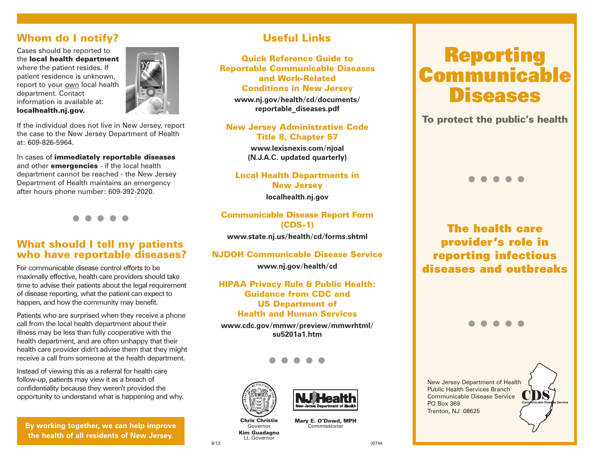## Whom do I notify?

Cases should be reported to the local health department where the patient resides. If patient residence is unknown, report to your own local health department. Contact information is available at: localhealth.nj.gov.



If the individual does not live in New Jersey, report the case to the New Jersey Department of Health at: 609-826-5964.

In cases of immediately reportable diseases and other **emergencies** - if the local health department cannot be reached - the New Jersey Department of Health maintains an emergency after hours phone number: 609-392-2020.

l l l l l

#### What should I tell my patients who have reportable diseases?

For communicable disease control efforts to be maximally effective, health care providers should take time to advise their patients about the legal requirement of disease reporting, what the patient can expect to happen, and how the community may benefit.

Patients who are surprised when they receive a phone call from the local health department about their illness may be less than fully cooperative with the health department, and are often unhappy that their health care provider didn't advise them that they might receive a call from someone at the health department.

Instead of viewing this as a referral for health care follow-up, patients may view it as a breach of confidentiality because they weren't provided the opportunity to understand what is happening and why.

**By working together, we can help improve the health of all residents of New Jersey.**

## Useful Links

Quick Reference Guide to Reportable Communicable Diseases and Work-Related Conditions in New Jersey

**www.nj.gov/health/cd/documents/ reportable\_diseases.pdf**

New Jersey Administrative Code Title 8, Chapter 57

> **www.lexisnexis.com/njoal (N.J.A.C. updated quarterly)**

Local Health Departments in New Jersey **localhealth.nj.gov**

Communicable Disease Report Form (CDS-1)

**www.state.nj.us/health/cd/forms.shtml**

#### NJDOH Communicable Disease Service

**www.nj.gov/health/cd**

HIPAA Privacy Rule & Public Health: Guidance from CDC and US Department of Health and Human Services

**www.cdc.gov/mmwr/preview/mmwrhtml/ su5201a1.htm**

l l l l l





Mary E. O'Dowd, MPH Commissioner

Governor Kim Guadagno Lt. Governor

J0744

# **Diseases** Reporting **Communicable**

To protect the public's health

# l l l l l

The health care provider's role in reporting infectious diseases and outbreaks

l l l l l

New Jersey Department of Health Public Health Services Branch Communicable Disease Service PO Box 369 Trenton, NJ 08625

8/13